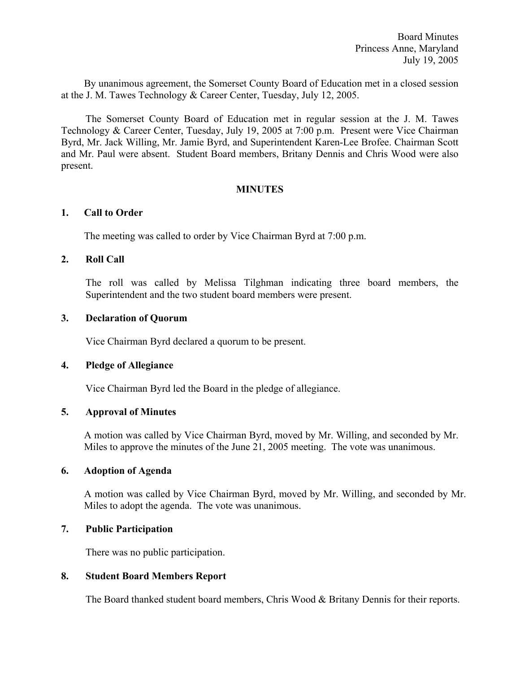By unanimous agreement, the Somerset County Board of Education met in a closed session at the J. M. Tawes Technology & Career Center, Tuesday, July 12, 2005.

The Somerset County Board of Education met in regular session at the J. M. Tawes Technology & Career Center, Tuesday, July 19, 2005 at 7:00 p.m. Present were Vice Chairman Byrd, Mr. Jack Willing, Mr. Jamie Byrd, and Superintendent Karen-Lee Brofee. Chairman Scott and Mr. Paul were absent. Student Board members, Britany Dennis and Chris Wood were also present.

### **MINUTES**

### **1. Call to Order**

The meeting was called to order by Vice Chairman Byrd at 7:00 p.m.

### **2. Roll Call**

The roll was called by Melissa Tilghman indicating three board members, the Superintendent and the two student board members were present.

#### **3. Declaration of Quorum**

Vice Chairman Byrd declared a quorum to be present.

#### **4. Pledge of Allegiance**

Vice Chairman Byrd led the Board in the pledge of allegiance.

#### **5. Approval of Minutes**

 A motion was called by Vice Chairman Byrd, moved by Mr. Willing, and seconded by Mr. Miles to approve the minutes of the June 21, 2005 meeting. The vote was unanimous.

#### **6. Adoption of Agenda**

A motion was called by Vice Chairman Byrd, moved by Mr. Willing, and seconded by Mr. Miles to adopt the agenda. The vote was unanimous.

# **7. Public Participation**

There was no public participation.

#### **8. Student Board Members Report**

The Board thanked student board members, Chris Wood & Britany Dennis for their reports.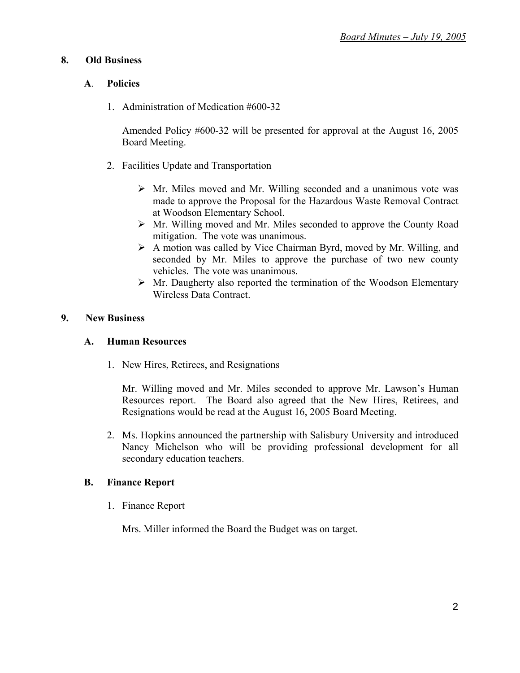# **8. Old Business**

# **A**. **Policies**

1. Administration of Medication #600-32

Amended Policy #600-32 will be presented for approval at the August 16, 2005 Board Meeting.

- 2. Facilities Update and Transportation
	- $\triangleright$  Mr. Miles moved and Mr. Willing seconded and a unanimous vote was made to approve the Proposal for the Hazardous Waste Removal Contract at Woodson Elementary School.
	- ¾ Mr. Willing moved and Mr. Miles seconded to approve the County Road mitigation. The vote was unanimous.
	- $\triangleright$  A motion was called by Vice Chairman Byrd, moved by Mr. Willing, and seconded by Mr. Miles to approve the purchase of two new county vehicles. The vote was unanimous.
	- $\triangleright$  Mr. Daugherty also reported the termination of the Woodson Elementary Wireless Data Contract.

# **9. New Business**

## **A. Human Resources**

1. New Hires, Retirees, and Resignations

Mr. Willing moved and Mr. Miles seconded to approve Mr. Lawson's Human Resources report. The Board also agreed that the New Hires, Retirees, and Resignations would be read at the August 16, 2005 Board Meeting.

2. Ms. Hopkins announced the partnership with Salisbury University and introduced Nancy Michelson who will be providing professional development for all secondary education teachers.

# **B. Finance Report**

1. Finance Report

Mrs. Miller informed the Board the Budget was on target.